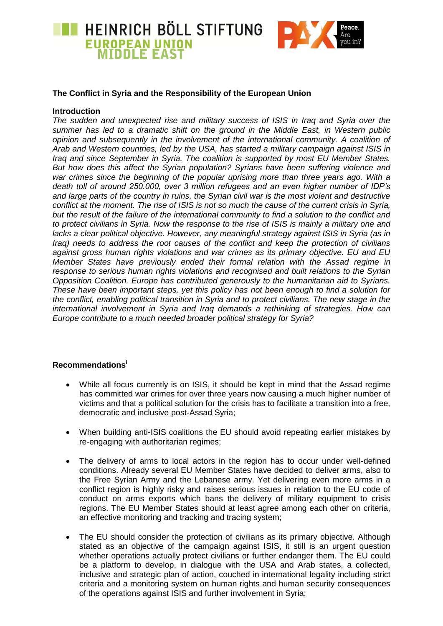



## **The Conflict in Syria and the Responsibility of the European Union**

## **Introduction**

*The sudden and unexpected rise and military success of ISIS in Iraq and Syria over the summer has led to a dramatic shift on the ground in the Middle East, in Western public opinion and subsequently in the involvement of the international community. A coalition of Arab and Western countries, led by the USA, has started a military campaign against ISIS in Iraq and since September in Syria. The coalition is supported by most EU Member States. But how does this affect the Syrian population? Syrians have been suffering violence and war crimes since the beginning of the popular uprising more than three years ago. With a death toll of around 250.000, over 3 million refugees and an even higher number of IDP's and large parts of the country in ruins, the Syrian civil war is the most violent and destructive conflict at the moment. The rise of ISIS is not so much the cause of the current crisis in Syria, but the result of the failure of the international community to find a solution to the conflict and to protect civilians in Syria. Now the response to the rise of ISIS is mainly a military one and lacks a clear political objective. However, any meaningful strategy against ISIS in Syria (as in Iraq) needs to address the root causes of the conflict and keep the protection of civilians against gross human rights violations and war crimes as its primary objective. EU and EU Member States have previously ended their formal relation with the Assad regime in response to serious human rights violations and recognised and built relations to the Syrian Opposition Coalition. Europe has contributed generously to the humanitarian aid to Syrians. These have been important steps, yet this policy has not been enough to find a solution for the conflict, enabling political transition in Syria and to protect civilians. The new stage in the international involvement in Syria and Iraq demands a rethinking of strategies. How can Europe contribute to a much needed broader political strategy for Syria?*

## **Recommendations<sup>i</sup>**

- While all focus currently is on ISIS, it should be kept in mind that the Assad regime has committed war crimes for over three years now causing a much higher number of victims and that a political solution for the crisis has to facilitate a transition into a free, democratic and inclusive post-Assad Syria;
- When building anti-ISIS coalitions the EU should avoid repeating earlier mistakes by re-engaging with authoritarian regimes;
- The delivery of arms to local actors in the region has to occur under well-defined conditions. Already several EU Member States have decided to deliver arms, also to the Free Syrian Army and the Lebanese army. Yet delivering even more arms in a conflict region is highly risky and raises serious issues in relation to the EU code of conduct on arms exports which bans the delivery of military equipment to crisis regions. The EU Member States should at least agree among each other on criteria, an effective monitoring and tracking and tracing system;
- The EU should consider the protection of civilians as its primary objective. Although stated as an objective of the campaign against ISIS, it still is an urgent question whether operations actually protect civilians or further endanger them. The EU could be a platform to develop, in dialogue with the USA and Arab states, a collected, inclusive and strategic plan of action, couched in international legality including strict criteria and a monitoring system on human rights and human security consequences of the operations against ISIS and further involvement in Syria;